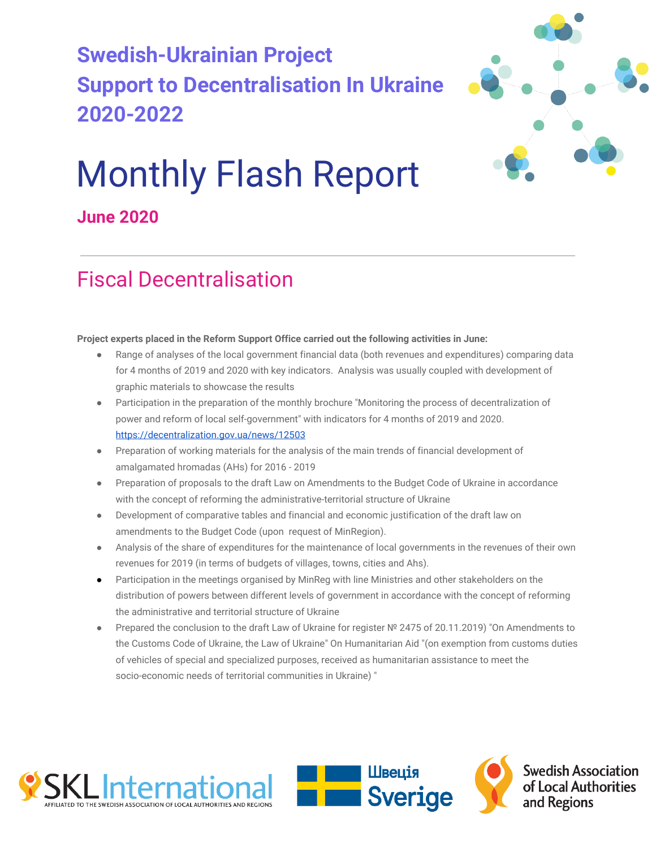## **Swedish-Ukrainian Project Support to Decentralisation In Ukraine 2020-2022**



# Monthly Flash Report

### **June 2020**

### Fiscal Decentralisation

#### **Project experts placed in the Reform Support Office carried out the following activities in June:**

- Range of analyses of the local government financial data (both revenues and expenditures) comparing data for 4 months of 2019 and 2020 with key indicators. Analysis was usually coupled with development of graphic materials to showcase the results
- Participation in the preparation of the monthly brochure "Monitoring the process of decentralization of power and reform of local self-government" with indicators for 4 months of 2019 and 2020. <https://decentralization.gov.ua/news/12503>
- Preparation of working materials for the analysis of the main trends of financial development of amalgamated hromadas (AHs) for 2016 - 2019
- Preparation of proposals to the draft Law on Amendments to the Budget Code of Ukraine in accordance with the concept of reforming the administrative-territorial structure of Ukraine
- Development of comparative tables and financial and economic justification of the draft law on amendments to the Budget Code (upon request of MinRegion).
- Analysis of the share of expenditures for the maintenance of local governments in the revenues of their own revenues for 2019 (in terms of budgets of villages, towns, cities and Ahs).
- Participation in the meetings organised by MinReg with line Ministries and other stakeholders on the distribution of powers between different levels of government in accordance with the concept of reforming the administrative and territorial structure of Ukraine
- Prepared the conclusion to the draft Law of Ukraine for register Nº 2475 of 20.11.2019) "On Amendments to the Customs Code of Ukraine, the Law of Ukraine" On Humanitarian Aid "(on exemption from customs duties of vehicles of special and specialized purposes, received as humanitarian assistance to meet the socio-economic needs of territorial communities in Ukraine) "





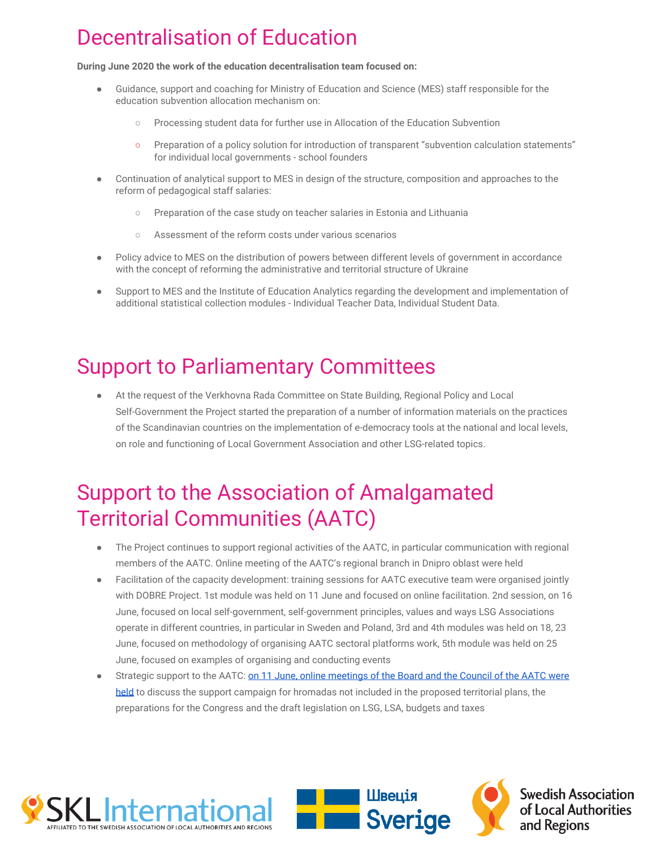### Decentralisation of Education

**During June 2020 the work of the education decentralisation team focused on:**

- Guidance, support and coaching for Ministry of Education and Science (MES) staff responsible for the education subvention allocation mechanism on:
	- Processing student data for further use in Allocation of the Education Subvention
	- Preparation of a policy solution for introduction of transparent "subvention calculation statements" for individual local governments - school founders
- Continuation of analytical support to MES in design of the structure, composition and approaches to the reform of pedagogical staff salaries:
	- Preparation of the case study on teacher salaries in Estonia and Lithuania
	- Assessment of the reform costs under various scenarios
- Policy advice to MES on the distribution of powers between different levels of government in accordance with the concept of reforming the administrative and territorial structure of Ukraine
- Support to MES and the Institute of Education Analytics regarding the development and implementation of additional statistical collection modules - Individual Teacher Data, Individual Student Data.

### Support to Parliamentary Committees

At the request of the Verkhovna Rada Committee on State Building, Regional Policy and Local Self-Government the Project started the preparation of a number of information materials on the practices of the Scandinavian countries on the implementation of e-democracy tools at the national and local levels, on role and functioning of Local Government Association and other LSG-related topics.

### Support to the Association of Amalgamated Territorial Communities (AATC)

- The Project continues to support regional activities of the AATC, in particular communication with regional members of the AATC. Online meeting of the AATC's regional branch in Dnipro oblast were held
- Facilitation of the capacity development: training sessions for AATC executive team were organised jointly with DOBRE Project. 1st module was held on 11 June and focused on online facilitation. 2nd session, on 16 June, focused on local self-government, self-government principles, values and ways LSG Associations operate in different countries, in particular in Sweden and Poland, 3rd and 4th modules was held on 18, 23 June, focused on methodology of organising AATC sectoral platforms work, 5th module was held on 25 June, focused on examples of organising and conducting events
- Strategic support to the AATC: [on 11 June, online meetings of the Board and the Council of the AATC were](https://hromady.org/%d0%b2-%d0%b0%d1%81%d0%be%d1%86%d1%96%d0%b0%d1%86%d1%96%d1%97-%d0%be%d0%b1%d0%b3%d0%be%d0%b2%d0%be%d1%80%d0%b8%d0%bb%d0%b8-%d1%81%d0%b8%d1%82%d1%83%d0%b0%d1%86%d1%96%d1%8e-%d1%89%d0%be%d0%b4%d0%be/) [held](https://hromady.org/%d0%b2-%d0%b0%d1%81%d0%be%d1%86%d1%96%d0%b0%d1%86%d1%96%d1%97-%d0%be%d0%b1%d0%b3%d0%be%d0%b2%d0%be%d1%80%d0%b8%d0%bb%d0%b8-%d1%81%d0%b8%d1%82%d1%83%d0%b0%d1%86%d1%96%d1%8e-%d1%89%d0%be%d0%b4%d0%be/) to discuss the support campaign for hromadas not included in the proposed territorial plans, the preparations for the Congress and the draft legislation on LSG, LSA, budgets and taxes



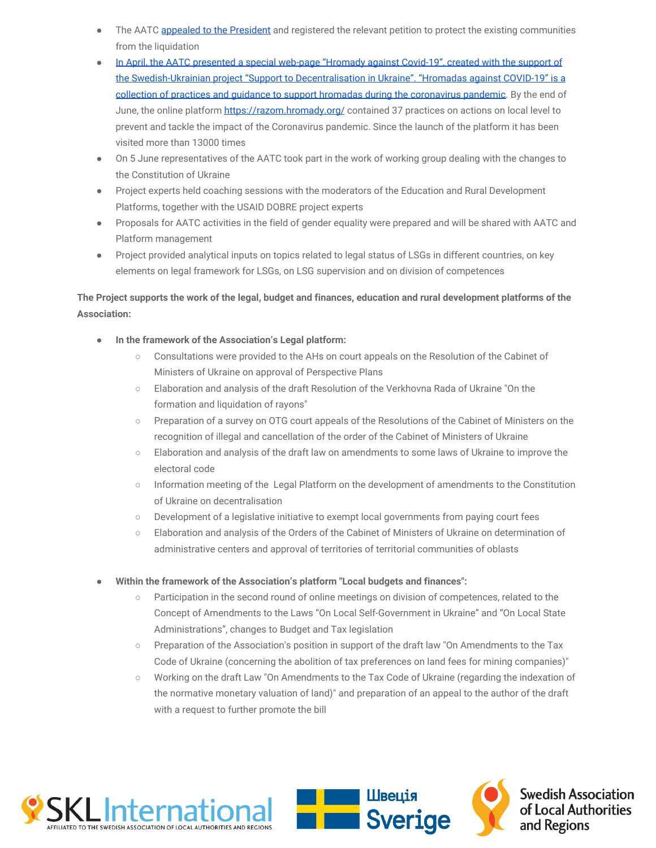- The AATC [appealed to the President](https://hromady.org/%d0%b0%d1%81%d0%be%d1%86%d1%96%d0%b0%d1%86%d1%96%d1%8f-%d0%be%d1%82%d0%b3-%d0%b7%d0%b2%d0%b5%d1%80%d0%bd%d1%83%d0%bb%d0%b0%d1%81%d1%8c-%d0%b4%d0%be-%d0%bf%d1%80%d0%b5%d0%b7%d0%b8%d0%b4%d0%b5%d0%bd/) and registered the relevant petition to protect the existing communities from the liquidation
- [In April, the AATC presented a special web-page "Hromady against Covid-19", created with the support of](https://hromady.org/%d0%b0%d1%81%d0%be%d1%86%d1%96%d0%b0%d1%86%d1%96%d1%8f-%d0%be%d1%82%d0%b3-%d0%bf%d1%80%d0%b5%d0%b7%d0%b5%d0%bd%d1%82%d1%83%d0%b2%d0%b0%d0%bb%d0%b0-%d1%81%d0%bf%d0%b5%d1%86%d1%96%d0%b0%d0%bb%d1%96/) [the Swedish-Ukrainian project "Support to Decentralisation in Ukraine". "Hromadas against COVID-19" is a](https://hromady.org/%d0%b0%d1%81%d0%be%d1%86%d1%96%d0%b0%d1%86%d1%96%d1%8f-%d0%be%d1%82%d0%b3-%d0%bf%d1%80%d0%b5%d0%b7%d0%b5%d0%bd%d1%82%d1%83%d0%b2%d0%b0%d0%bb%d0%b0-%d1%81%d0%bf%d0%b5%d1%86%d1%96%d0%b0%d0%bb%d1%96/) [collection of practices and guidance to support hromadas during the coronavirus pandemic](https://hromady.org/%d0%b0%d1%81%d0%be%d1%86%d1%96%d0%b0%d1%86%d1%96%d1%8f-%d0%be%d1%82%d0%b3-%d0%bf%d1%80%d0%b5%d0%b7%d0%b5%d0%bd%d1%82%d1%83%d0%b2%d0%b0%d0%bb%d0%b0-%d1%81%d0%bf%d0%b5%d1%86%d1%96%d0%b0%d0%bb%d1%96/). By the end of June, the online platform<https://razom.hromady.org/>contained 37 practices on actions on local level to prevent and tackle the impact of the Coronavirus pandemic. Since the launch of the platform it has been visited more than 13000 times
- On 5 June representatives of the AATC took part in the work of working group dealing with the changes to the Constitution of Ukraine
- Project experts held coaching sessions with the moderators of the Education and Rural Development Platforms, together with the USAID DOBRE project experts
- Proposals for AATC activities in the field of gender equality were prepared and will be shared with AATC and Platform management
- Project provided analytical inputs on topics related to legal status of LSGs in different countries, on key elements on legal framework for LSGs, on LSG supervision and on division of competences

#### **The Project supports the work of the legal, budget and finances, education and rural development platforms of the Association:**

- **In the framework of the Association's Legal platform:**
	- Consultations were provided to the AHs on court appeals on the Resolution of the Cabinet of Ministers of Ukraine on approval of Perspective Plans
	- Elaboration and analysis of the draft Resolution of the Verkhovna Rada of Ukraine "On the formation and liquidation of rayons"
	- Preparation of a survey on OTG court appeals of the Resolutions of the Cabinet of Ministers on the recognition of illegal and cancellation of the order of the Cabinet of Ministers of Ukraine
	- Elaboration and analysis of the draft law on amendments to some laws of Ukraine to improve the electoral code
	- Information meeting of the Legal Platform on the development of amendments to the Constitution of Ukraine on decentralisation
	- Development of a legislative initiative to exempt local governments from paying court fees
	- Elaboration and analysis of the Orders of the Cabinet of Ministers of Ukraine on determination of administrative centers and approval of territories of territorial communities of oblasts
- Within the framework of the Association's platform "Local budgets and finances":
	- Participation in the second round of online meetings on division of competences, related to the Concept of Amendments to the Laws "On Local Self-Government in Ukraine" and "On Local State Administrations", changes to Budget and Tax legislation
	- Preparation of the Association's position in support of the draft law "On Amendments to the Tax Code of Ukraine (concerning the abolition of tax preferences on land fees for mining companies)"
	- Working on the draft Law "On Amendments to the Tax Code of Ukraine (regarding the indexation of the normative monetary valuation of land)" and preparation of an appeal to the author of the draft with a request to further promote the bill



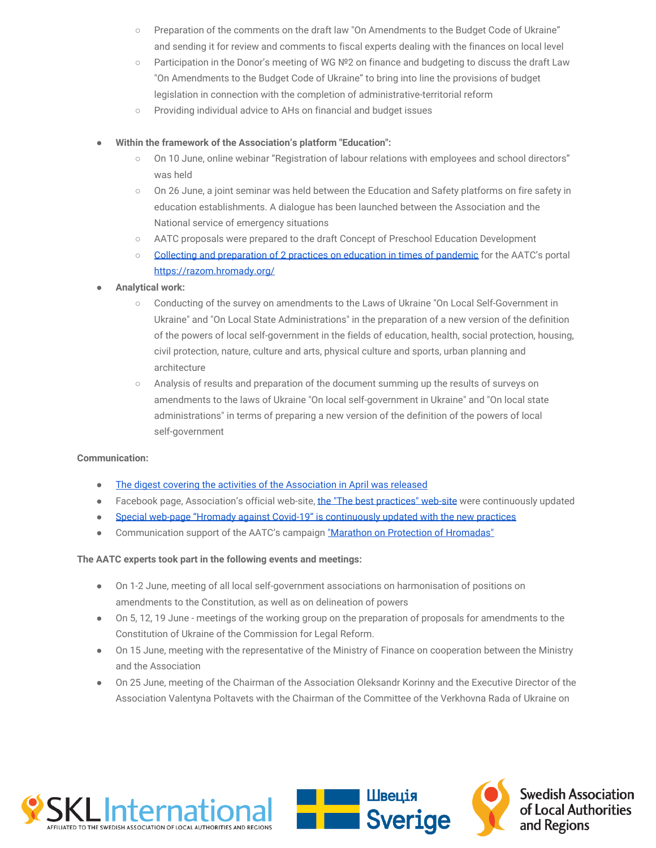- Preparation of the comments on the draft law "On Amendments to the Budget Code of Ukraine" and sending it for review and comments to fiscal experts dealing with the finances on local level
- Participation in the Donor's meeting of WG №2 on finance and budgeting to discuss the draft Law "On Amendments to the Budget Code of Ukraine" to bring into line the provisions of budget legislation in connection with the completion of administrative-territorial reform
- Providing individual advice to AHs on financial and budget issues

#### ● **Within the framework of the Association's platform "Education":**

- On 10 June, online webinar "Registration of labour relations with employees and school directors" was held
- On 26 June, a joint seminar was held between the Education and Safety platforms on fire safety in education establishments. A dialogue has been launched between the Association and the National service of emergency situations
- AATC proposals were prepared to the draft Concept of Preschool Education Development
- [Collecting and preparation of 2 practices on education in times of pandemic](https://razom.hromady.org/%d0%bd%d0%b0%d0%bb%d0%b5%d0%b6%d0%bd%d0%b0-%d0%bf%d1%80%d0%b0%d0%ba%d1%82%d0%b8%d0%ba%d0%b0-2/) for the AATC's portal <https://razom.hromady.org/>
- **● Analytical work:**
	- Conducting of the survey on amendments to the Laws of Ukraine "On Local Self-Government in Ukraine" and "On Local State Administrations" in the preparation of a new version of the definition of the powers of local self-government in the fields of education, health, social protection, housing, civil protection, nature, culture and arts, physical culture and sports, urban planning and architecture
	- Analysis of results and preparation of the document summing up the results of surveys on amendments to the laws of Ukraine "On local self-government in Ukraine" and "On local state administrations" in terms of preparing a new version of the definition of the powers of local self-government

#### **Communication:**

- [The digest covering the activities of the Association in April was released](https://wp.me/P9LVVV-1Gk)
- Facebook page, Association's official web-site, [the "The best practices" web-site](https://wiki.hromady.org/) were continuously updated
- [Special web-page "Hromady against Covid-19" is continuously updated with the new practices](https://razom.hromady.org/)
- Communication support of the AATC's campaign ["Marathon on Protection of Hromadas"](https://hromady.org/%d0%bc%d0%b0%d1%80%d0%b0%d1%84%d0%be%d0%bd%d1%83-%d0%b7%d0%b0%d1%85%d0%b8%d1%81%d1%82%d1%83-%d0%b3%d1%80%d0%be%d0%bc%d0%b0%d0%b4-%d0%b0%d1%81%d0%be%d1%86%d1%96%d0%b0%d1%86%d1%96%d1%8f/)

#### **The AATC experts took part in the following events and meetings:**

- On 1-2 June, meeting of all local self-government associations on harmonisation of positions on amendments to the Constitution, as well as on delineation of powers
- On 5, 12, 19 June meetings of the working group on the preparation of proposals for amendments to the Constitution of Ukraine of the Commission for Legal Reform.
- On 15 June, meeting with the representative of the Ministry of Finance on cooperation between the Ministry and the Association
- On 25 June, meeting of the Chairman of the Association Oleksandr Korinny and the Executive Director of the Association Valentyna Poltavets with the Chairman of the Committee of the Verkhovna Rada of Ukraine on